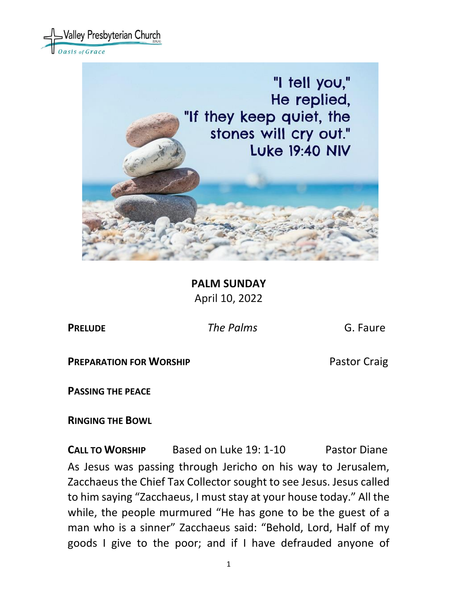



**PALM SUNDAY** April 10, 2022

**PRELUDE** *The Palms* G. Faure

**PREPARATION FOR WORSHIP <b>PREPARATION** FOR WORSHIP

**PASSING THE PEACE**

**RINGING THE BOWL** 

**CALL TO WORSHIP** Based on Luke 19: 1-10Pastor Diane As Jesus was passing through Jericho on his way to Jerusalem, Zacchaeus the Chief Tax Collector sought to see Jesus. Jesus called to him saying "Zacchaeus, I must stay at your house today." All the while, the people murmured "He has gone to be the guest of a man who is a sinner" Zacchaeus said: "Behold, Lord, Half of my goods I give to the poor; and if I have defrauded anyone of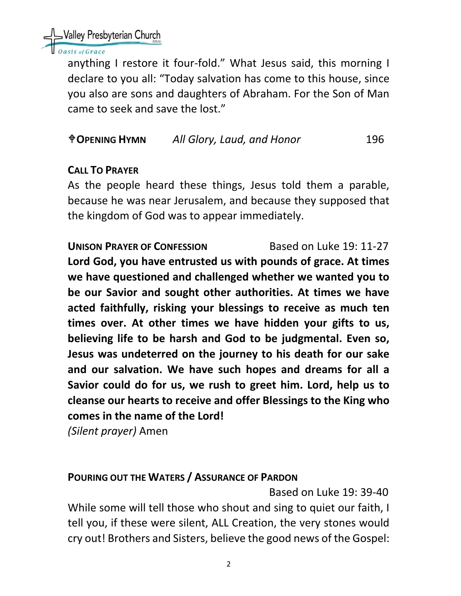Nalley Presbyterian Church

#### sis of Grace

anything I restore it four-fold." What Jesus said, this morning I declare to you all: "Today salvation has come to this house, since you also are sons and daughters of Abraham. For the Son of Man came to seek and save the lost."

# **OPENING HYMN** *All Glory, Laud, and Honor* 196

# **CALL TO PRAYER**

As the people heard these things, Jesus told them a parable, because he was near Jerusalem, and because they supposed that the kingdom of God was to appear immediately.

**UNISON PRAYER OF CONFESSION** Based on Luke 19: 11-27 **Lord God, you have entrusted us with pounds of grace. At times we have questioned and challenged whether we wanted you to be our Savior and sought other authorities. At times we have acted faithfully, risking your blessings to receive as much ten times over. At other times we have hidden your gifts to us, believing life to be harsh and God to be judgmental. Even so, Jesus was undeterred on the journey to his death for our sake and our salvation. We have such hopes and dreams for all a Savior could do for us, we rush to greet him. Lord, help us to cleanse our hearts to receive and offer Blessings to the King who comes in the name of the Lord!**

*(Silent prayer)* Amen

#### **POURING OUT THE WATERS / ASSURANCE OF PARDON**

Based on Luke 19: 39-40

While some will tell those who shout and sing to quiet our faith, I tell you, if these were silent, ALL Creation, the very stones would cry out! Brothers and Sisters, believe the good news of the Gospel: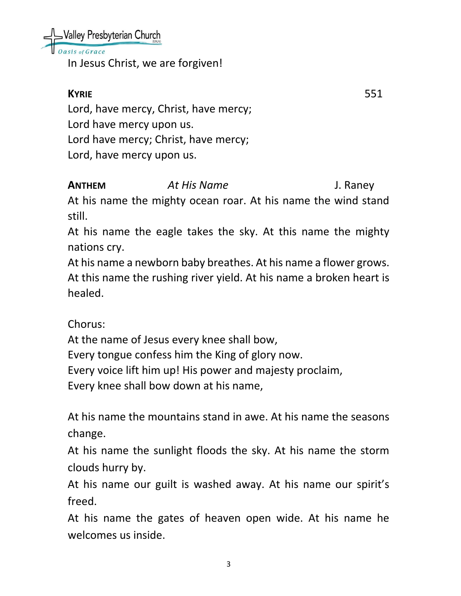Nalley Presbyterian Church

asis of Grace

In Jesus Christ, we are forgiven!

**KYRIE** 551 Lord, have mercy, Christ, have mercy; Lord have mercy upon us. Lord have mercy; Christ, have mercy; Lord, have mercy upon us.

**ANTHEM** *At His Name* J. Raney

At his name the mighty ocean roar. At his name the wind stand still.

At his name the eagle takes the sky. At this name the mighty nations cry.

At his name a newborn baby breathes. At his name a flower grows. At this name the rushing river yield. At his name a broken heart is healed.

Chorus:

At the name of Jesus every knee shall bow, Every tongue confess him the King of glory now. Every voice lift him up! His power and majesty proclaim, Every knee shall bow down at his name,

At his name the mountains stand in awe. At his name the seasons change.

At his name the sunlight floods the sky. At his name the storm clouds hurry by.

At his name our guilt is washed away. At his name our spirit's freed.

At his name the gates of heaven open wide. At his name he welcomes us inside.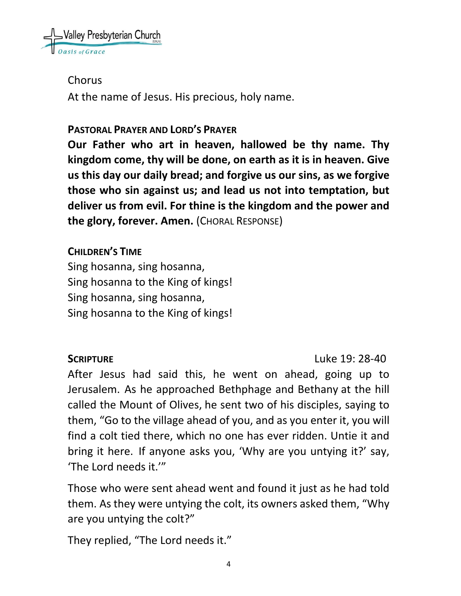

Chorus

At the name of Jesus. His precious, holy name.

#### **PASTORAL PRAYER AND LORD'S PRAYER**

**Our Father who art in heaven, hallowed be thy name. Thy kingdom come, thy will be done, on earth as it is in heaven. Give us this day our daily bread; and forgive us our sins, as we forgive those who sin against us; and lead us not into temptation, but deliver us from evil. For thine is the kingdom and the power and the glory, forever. Amen.** (CHORAL RESPONSE)

**CHILDREN'S TIME**

Sing hosanna, sing hosanna, Sing hosanna to the King of kings! Sing hosanna, sing hosanna, Sing hosanna to the King of kings!

**SCRIPTURE** Luke 19: 28-40

After Jesus had said this, he went on ahead, going up to Jerusalem. As he approached Bethphage and Bethany at the hill called the Mount of Olives, he sent two of his disciples, saying to them, "Go to the village ahead of you, and as you enter it, you will find a colt tied there, which no one has ever ridden. Untie it and bring it here. If anyone asks you, 'Why are you untying it?' say, 'The Lord needs it.'"

Those who were sent ahead went and found it just as he had told them. As they were untying the colt, its owners asked them, "Why are you untying the colt?"

They replied, "The Lord needs it."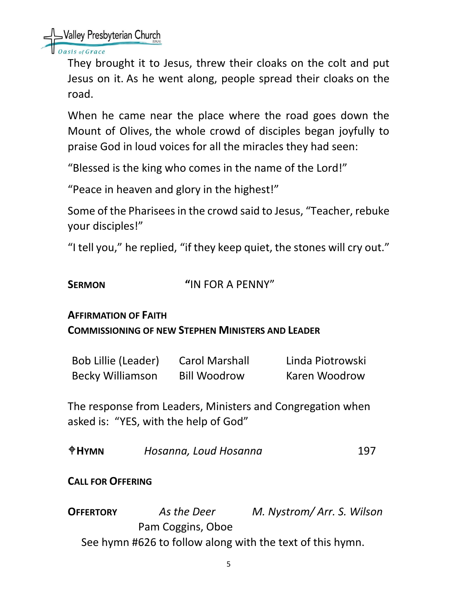SValley Presbyterian Church

sis of Grace

They brought it to Jesus, threw their cloaks on the colt and put Jesus on it. As he went along, people spread their cloaks on the road.

When he came near the place where the road goes down the Mount of Olives, the whole crowd of disciples began joyfully to praise God in loud voices for all the miracles they had seen:

"Blessed is the king who comes in the name of the Lord!"

"Peace in heaven and glory in the highest!"

Some of the Pharisees in the crowd said to Jesus, "Teacher, rebuke your disciples!"

"I tell you," he replied, "if they keep quiet, the stones will cry out."

# **SERMON "**IN FOR A PENNY"

#### **AFFIRMATION OF FAITH**

#### **COMMISSIONING OF NEW STEPHEN MINISTERS AND LEADER**

| <b>Bob Lillie (Leader)</b> | <b>Carol Marshall</b> | Linda Piotrowski |
|----------------------------|-----------------------|------------------|
| <b>Becky Williamson</b>    | <b>Bill Woodrow</b>   | Karen Woodrow    |

The response from Leaders, Ministers and Congregation when asked is: "YES, with the help of God"

| $\triangle$ HYMN | Hosanna, Loud Hosanna | 197 |
|------------------|-----------------------|-----|
|                  |                       |     |

# **CALL FOR OFFERING**

**OFFERTORY** *As the Deer M. Nystrom/ Arr. S. Wilson* Pam Coggins, Oboe See hymn #626 to follow along with the text of this hymn.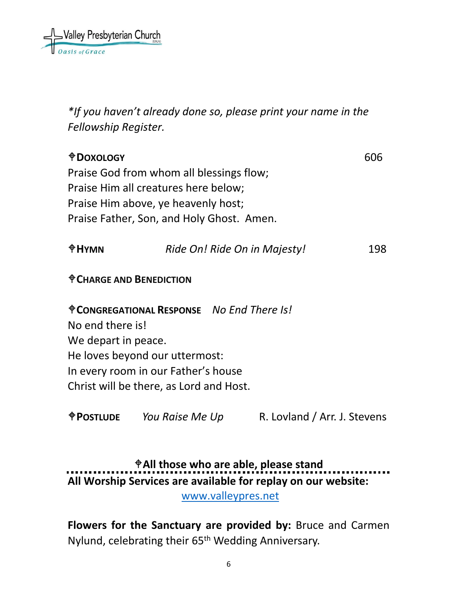

*\*If you haven't already done so, please print your name in the Fellowship Register.*

**DOXOLOGY** 606 Praise God from whom all blessings flow; Praise Him all creatures here below; Praise Him above, ye heavenly host; Praise Father, Son, and Holy Ghost. Amen.

| $\mathbf{\Phi}$ HYMN | Ride On! Ride On in Majesty! | 198 |
|----------------------|------------------------------|-----|
|                      |                              |     |

#### **CHARGE AND BENEDICTION**

**CONGREGATIONAL RESPONSE** *No End There Is!* No end there is! We depart in peace. He loves beyond our uttermost: In every room in our Father's house Christ will be there, as Lord and Host.

**POSTLUDE** *You Raise Me Up* R. Lovland / Arr. J. Stevens

# **All those who are able, please stand All Worship Services are available for replay on our website:**  [www.valleypres.net](http://www.valleypres.net/)

**Flowers for the Sanctuary are provided by:** Bruce and Carmen Nylund, celebrating their 65th Wedding Anniversary.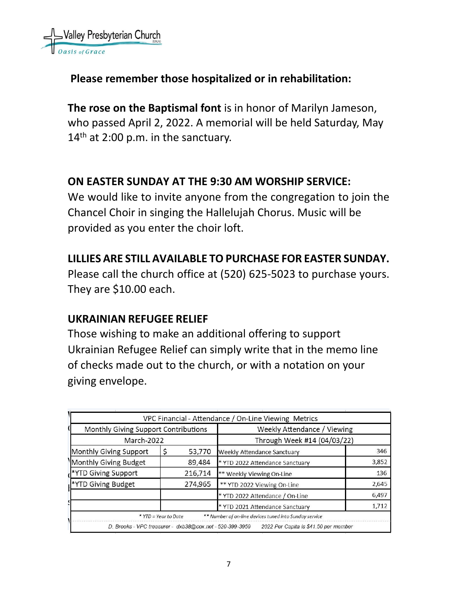

# **Please remember those hospitalized or in rehabilitation:**

**The rose on the Baptismal font** is in honor of Marilyn Jameson, who passed April 2, 2022. A memorial will be held Saturday, May  $14<sup>th</sup>$  at 2:00 p.m. in the sanctuary.

### **ON EASTER SUNDAY AT THE 9:30 AM WORSHIP SERVICE:**

We would like to invite anyone from the congregation to join the Chancel Choir in singing the Hallelujah Chorus. Music will be provided as you enter the choir loft.

### **LILLIES ARE STILL AVAILABLE TO PURCHASE FOR EASTER SUNDAY.**

Please call the church office at (520) 625-5023 to purchase yours. They are \$10.00 each.

# **UKRAINIAN REFUGEE RELIEF**

Those wishing to make an additional offering to support Ukrainian Refugee Relief can simply write that in the memo line of checks made out to the church, or with a notation on your giving envelope.

|                                                          |                      |                             | VPC Financial - Attendance / On-Line Viewing Metrics   |       |
|----------------------------------------------------------|----------------------|-----------------------------|--------------------------------------------------------|-------|
| Monthly Giving Support Contributions                     |                      | Weekly Attendance / Viewing |                                                        |       |
| March-2022                                               |                      | Through Week #14 (04/03/22) |                                                        |       |
| Monthly Giving Support                                   |                      | 53,770                      | Weekly Attendance Sanctuary                            | 346   |
| Monthly Giving Budget                                    |                      | 89,484                      | * YTD 2022 Attendance Sanctuary                        | 3,852 |
| *YTD Giving Support                                      |                      | 216,714                     | ** Weekly Viewing On-Line                              | 136   |
| *YTD Giving Budget                                       |                      | 274,965                     | ** YTD 2022 Viewing On-Line                            | 2,645 |
|                                                          |                      |                             | * YTD 2022 Attendance / On-Line                        | 6,497 |
|                                                          |                      |                             | * YTD 2021 Attendance Sanctuary                        | 1,712 |
|                                                          | * YTD = Year to Date |                             | ** Number of on-line devices tuned into Sunday service |       |
| D. Brooks - VPC treasurer - dxb38@cox.net - 520-399-3959 |                      |                             | 2022 Per Capita is \$41.50 per member                  |       |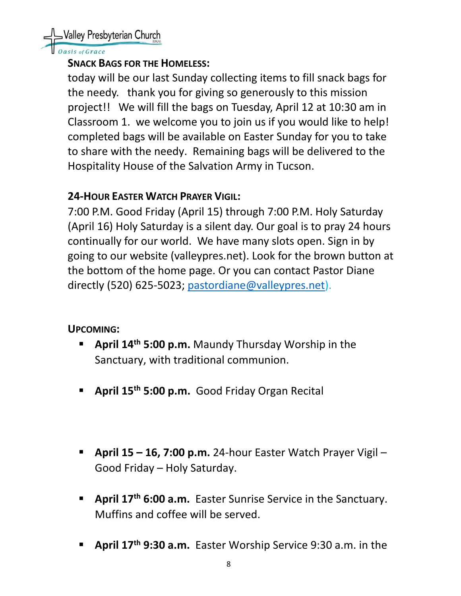Valley Presbyterian Church

#### asis of Grace

#### **SNACK BAGS FOR THE HOMELESS:**

today will be our last Sunday collecting items to fill snack bags for the needy. thank you for giving so generously to this mission project!! We will fill the bags on Tuesday, April 12 at 10:30 am in Classroom 1. we welcome you to join us if you would like to help! completed bags will be available on Easter Sunday for you to take to share with the needy. Remaining bags will be delivered to the Hospitality House of the Salvation Army in Tucson.

# **24-HOUR EASTER WATCH PRAYER VIGIL:**

7:00 P.M. Good Friday (April 15) through 7:00 P.M. Holy Saturday (April 16) Holy Saturday is a silent day. Our goal is to pray 24 hours continually for our world. We have many slots open. Sign in by going to our website (valleypres.net). Look for the brown button at the bottom of the home page. Or you can contact Pastor Diane directly (520) 625-5023; [pastordiane@valleypres.net\)](mailto:pastordiane@valleypres.net).

# **UPCOMING:**

- April 14<sup>th</sup> 5:00 p.m. Maundy Thursday Worship in the Sanctuary, with traditional communion.
- **April 15th 5:00 p.m.** Good Friday Organ Recital
- **April 15 – 16, 7:00 p.m.** 24-hour Easter Watch Prayer Vigil Good Friday – Holy Saturday.
- **April 17<sup>th</sup> 6:00 a.m.** Easter Sunrise Service in the Sanctuary. Muffins and coffee will be served.
- April 17<sup>th</sup> 9:30 a.m. Easter Worship Service 9:30 a.m. in the